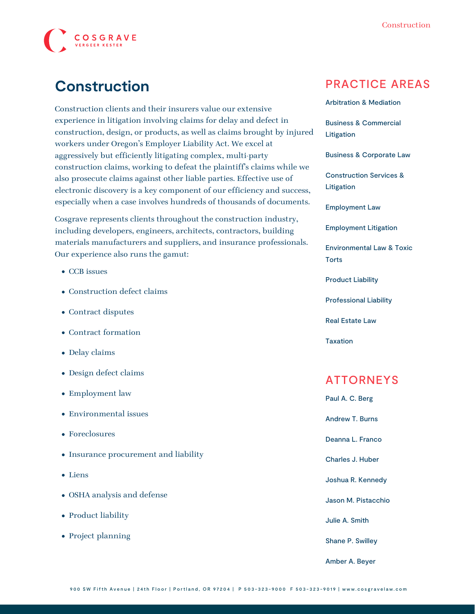

# **Construction**

Construction clients and their insurers value our extensive experience in litigation involving claims for delay and defect in construction, design, or products, as well as claims brought by injured workers under Oregon's Employer Liability Act. We excel at aggressively but efficiently litigating complex, multi-party construction claims, working to defeat the plaintiff's claims while we also prosecute claims against other liable parties. Effective use of electronic discovery is a key component of our efficiency and success, especially when a case involves hundreds of thousands of documents.

Cosgrave represents clients throughout the construction industry, including developers, engineers, architects, contractors, building materials manufacturers and suppliers, and insurance professionals. Our experience also runs the gamut:

- CCB issues
- Construction defect claims
- Contract disputes
- Contract formation
- Delay claims
- Design defect claims
- Employment law
- Environmental issues
- Foreclosures
- Insurance procurement and liability
- Liens
- OSHA analysis and defense
- Product liability
- Project planning

### PRACTICE AREAS

[Arbitration & Mediation](https://www.cosgravelaw.com/arbitration-mediation/)

[Business & Commercial](https://www.cosgravelaw.com/business-commercial-litigation/) [Litigation](https://www.cosgravelaw.com/business-commercial-litigation/)

[Business & Corporate Law](https://www.cosgravelaw.com/business-representation-transactions/)

[Construction Services &](https://www.cosgravelaw.com/construction-services-litigation/) [Litigation](https://www.cosgravelaw.com/construction-services-litigation/)

[Employment Law](https://www.cosgravelaw.com/employee-relations-hr-advice-counsel/)

[Employment Litigation](https://www.cosgravelaw.com/employment-litigation/)

[Environmental Law & Toxic](https://www.cosgravelaw.com/environmental-law-toxic-torts/) **[Torts](https://www.cosgravelaw.com/environmental-law-toxic-torts/)** 

[Product Liability](https://www.cosgravelaw.com/product-liability-attorneys/)

[Professional Liability](https://www.cosgravelaw.com/professional-liability/)

[Real Estate Law](https://www.cosgravelaw.com/real-estate-law/)

[Taxation](https://www.cosgravelaw.com/taxation/)

### ATTORNEYS

[Paul A. C. Berg](https://www.cosgravelaw.com/paul-berg-insurance-coverage/) [Andrew T. Burns](https://www.cosgravelaw.com/andrew-burns-construction-services-attorney/) [Deanna L. Franco](https://www.cosgravelaw.com/deanna-l-franco-trust-estate-planning/) [Charles J. Huber](https://www.cosgravelaw.com/charles-huber-business-representation-transactions/) [Joshua R. Kennedy](https://www.cosgravelaw.com/joshua-kennedy-construction-litigation-attorney/) [Jason M. Pistacchio](https://www.cosgravelaw.com/jason-pistacchio-construction-lien-attorney/) [Julie A. Smith](https://www.cosgravelaw.com/julie-smith-appellate-litigation-services/) [Shane P. Swilley](https://www.cosgravelaw.com/shane-swilley-employment-law/) [Amber A. Beyer](https://www.cosgravelaw.com/amber-a-beyer-business-litigation-attorney/)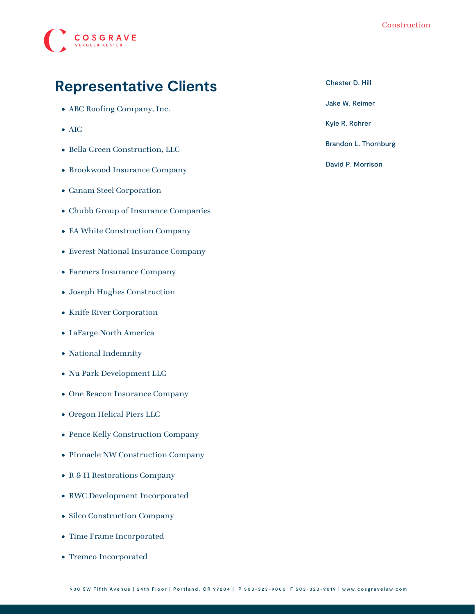

#### Construction

## **Representative Clients**

- ABC Roofing Company, Inc.
- AIG
- Bella Green Construction, LLC
- Brookwood Insurance Company
- Canam Steel Corporation
- Chubb Group of Insurance Companies
- EA White Construction Company
- Everest National Insurance Company
- Farmers Insurance Company
- Joseph Hughes Construction
- Knife River Corporation
- LaFarge North America
- National Indemnity
- Nu Park Development LLC
- One Beacon Insurance Company
- Oregon Helical Piers LLC
- Pence Kelly Construction Company
- Pinnacle NW Construction Company
- R & H Restorations Company
- RWC Development Incorporated
- Silco Construction Company
- Time Frame Incorporated
- Tremco Incorporated

[Chester D. Hill](https://www.cosgravelaw.com/chester-hill-commercial-landlord-tenant-attorney/)

[Jake W. Reimer](https://www.cosgravelaw.com/jake-w-reimer/)

[Kyle R. Rohrer](https://www.cosgravelaw.com/kyle-rohrer/)

[Brandon L. Thornburg](https://www.cosgravelaw.com/brandon-thornburg-transportation-litigation/)

[David P. Morrison](https://www.cosgravelaw.com/david-p-morrison/)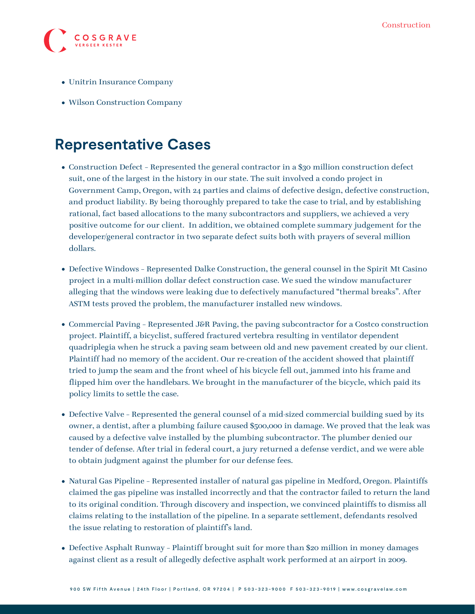

- Unitrin Insurance Company
- Wilson Construction Company

## **Representative Cases**

- Construction Defect Represented the general contractor in a \$30 million construction defect suit, one of the largest in the history in our state. The suit involved a condo project in Government Camp, Oregon, with 24 parties and claims of defective design, defective construction, and product liability. By being thoroughly prepared to take the case to trial, and by establishing rational, fact based allocations to the many subcontractors and suppliers, we achieved a very positive outcome for our client. In addition, we obtained complete summary judgement for the developer/general contractor in two separate defect suits both with prayers of several million dollars.
- Defective Windows Represented Dalke Construction, the general counsel in the Spirit Mt Casino project in a multi-million dollar defect construction case. We sued the window manufacturer alleging that the windows were leaking due to defectively manufactured "thermal breaks". After ASTM tests proved the problem, the manufacturer installed new windows.
- Commercial Paving Represented J&R Paving, the paving subcontractor for a Costco construction project. Plaintiff, a bicyclist, suffered fractured vertebra resulting in ventilator dependent quadriplegia when he struck a paving seam between old and new pavement created by our client. Plaintiff had no memory of the accident. Our re-creation of the accident showed that plaintiff tried to jump the seam and the front wheel of his bicycle fell out, jammed into his frame and flipped him over the handlebars. We brought in the manufacturer of the bicycle, which paid its policy limits to settle the case.
- Defective Valve Represented the general counsel of a mid-sized commercial building sued by its owner, a dentist, after a plumbing failure caused \$500,000 in damage. We proved that the leak was caused by a defective valve installed by the plumbing subcontractor. The plumber denied our tender of defense. After trial in federal court, a jury returned a defense verdict, and we were able to obtain judgment against the plumber for our defense fees.
- Natural Gas Pipeline Represented installer of natural gas pipeline in Medford, Oregon. Plaintiffs claimed the gas pipeline was installed incorrectly and that the contractor failed to return the land to its original condition. Through discovery and inspection, we convinced plaintiffs to dismiss all claims relating to the installation of the pipeline. In a separate settlement, defendants resolved the issue relating to restoration of plaintiff's land.
- Defective Asphalt Runway Plaintiff brought suit for more than \$20 million in money damages against client as a result of allegedly defective asphalt work performed at an airport in 2009.